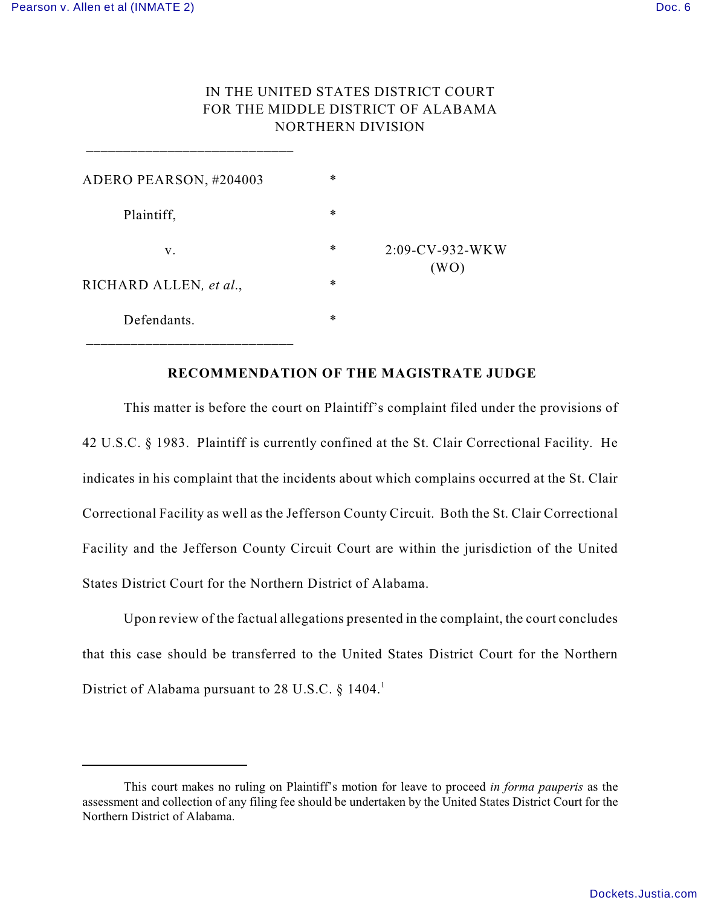$\frac{1}{2}$  ,  $\frac{1}{2}$  ,  $\frac{1}{2}$  ,  $\frac{1}{2}$  ,  $\frac{1}{2}$  ,  $\frac{1}{2}$  ,  $\frac{1}{2}$  ,  $\frac{1}{2}$  ,  $\frac{1}{2}$  ,  $\frac{1}{2}$  ,  $\frac{1}{2}$  ,  $\frac{1}{2}$  ,  $\frac{1}{2}$  ,  $\frac{1}{2}$  ,  $\frac{1}{2}$  ,  $\frac{1}{2}$  ,  $\frac{1}{2}$  ,  $\frac{1}{2}$  ,  $\frac{1$ 

## IN THE UNITED STATES DISTRICT COURT FOR THE MIDDLE DISTRICT OF ALABAMA NORTHERN DIVISION

| ADERO PEARSON, #204003 | $\ast$ | $2:09$ -CV-932-WKW<br>(WO) |
|------------------------|--------|----------------------------|
| Plaintiff,             | $\ast$ |                            |
| V.                     | $\ast$ |                            |
| RICHARD ALLEN, et al., | $\ast$ |                            |
| Defendants.            | $\ast$ |                            |

## **RECOMMENDATION OF THE MAGISTRATE JUDGE**

This matter is before the court on Plaintiff's complaint filed under the provisions of 42 U.S.C. § 1983. Plaintiff is currently confined at the St. Clair Correctional Facility. He indicates in his complaint that the incidents about which complains occurred at the St. Clair Correctional Facility as well as the Jefferson County Circuit. Both the St. Clair Correctional Facility and the Jefferson County Circuit Court are within the jurisdiction of the United States District Court for the Northern District of Alabama.

Upon review of the factual allegations presented in the complaint, the court concludes that this case should be transferred to the United States District Court for the Northern District of Alabama pursuant to 28 U.S.C.  $\S$  1404.

This court makes no ruling on Plaintiff's motion for leave to proceed *in forma pauperis* as the *<sup>1</sup>* assessment and collection of any filing fee should be undertaken by the United States District Court for the Northern District of Alabama.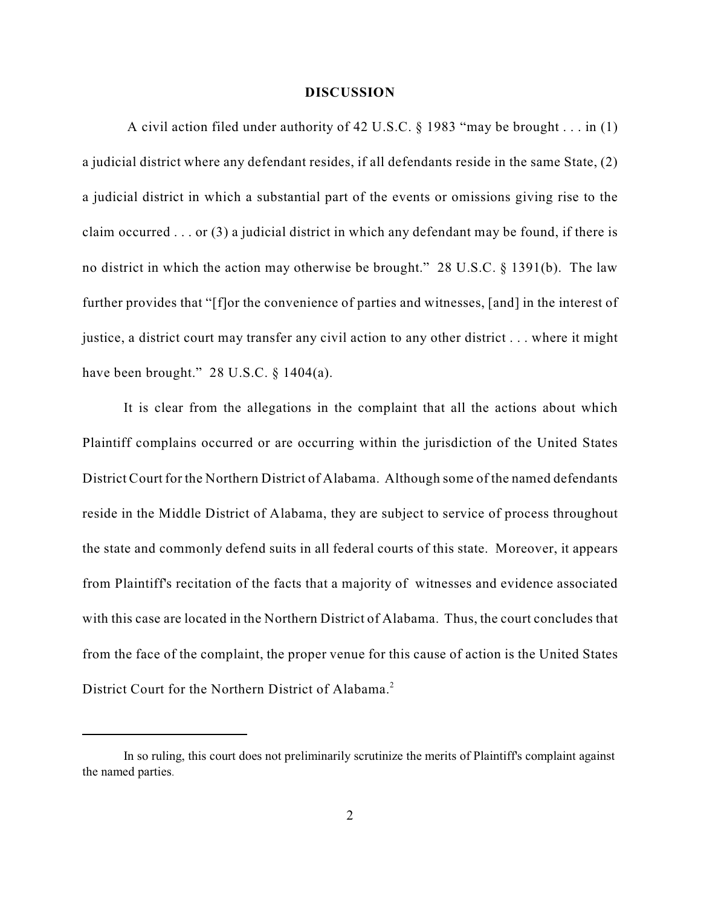## **DISCUSSION**

A civil action filed under authority of 42 U.S.C. § 1983 "may be brought . . . in (1) a judicial district where any defendant resides, if all defendants reside in the same State, (2) a judicial district in which a substantial part of the events or omissions giving rise to the claim occurred . . . or (3) a judicial district in which any defendant may be found, if there is no district in which the action may otherwise be brought." 28 U.S.C. § 1391(b). The law further provides that "[f]or the convenience of parties and witnesses, [and] in the interest of justice, a district court may transfer any civil action to any other district . . . where it might have been brought."  $28$  U.S.C.  $\S$  1404(a).

It is clear from the allegations in the complaint that all the actions about which Plaintiff complains occurred or are occurring within the jurisdiction of the United States District Court for the Northern District of Alabama. Although some of the named defendants reside in the Middle District of Alabama, they are subject to service of process throughout the state and commonly defend suits in all federal courts of this state. Moreover, it appears from Plaintiff's recitation of the facts that a majority of witnesses and evidence associated with this case are located in the Northern District of Alabama. Thus, the court concludes that from the face of the complaint, the proper venue for this cause of action is the United States District Court for the Northern District of Alabama.<sup>2</sup>

In so ruling, this court does not preliminarily scrutinize the merits of Plaintiff's complaint against *<sup>2</sup>* the named parties.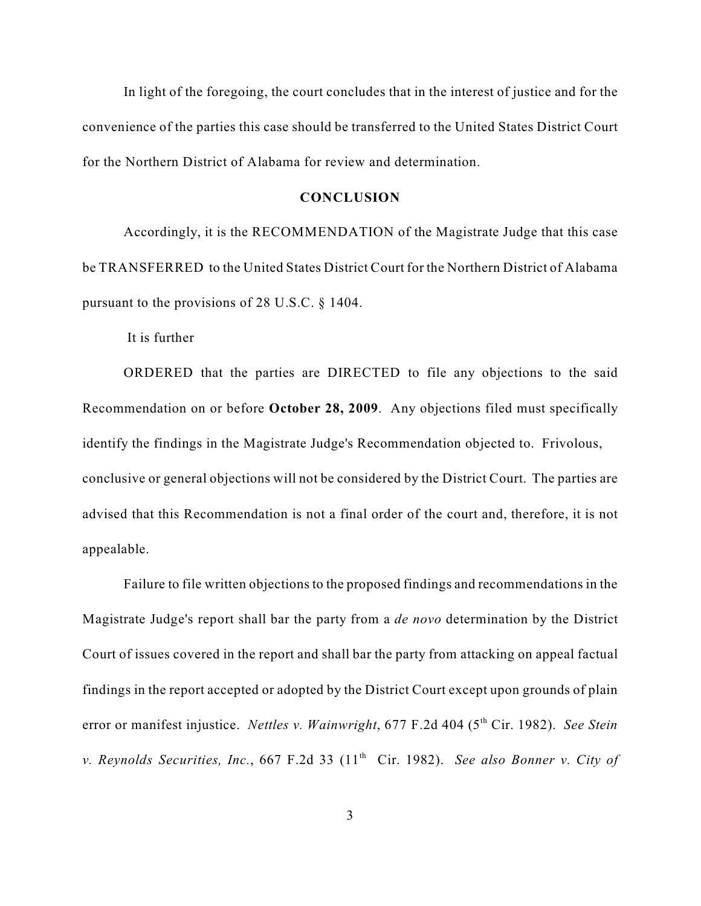In light of the foregoing, the court concludes that in the interest of justice and for the convenience of the parties this case should be transferred to the United States District Court for the Northern District of Alabama for review and determination.

## **CONCLUSION**

Accordingly, it is the RECOMMENDATION of the Magistrate Judge that this case be TRANSFERRED to the United States District Court for the Northern District of Alabama pursuant to the provisions of 28 U.S.C. § 1404.

It is further

ORDERED that the parties are DIRECTED to file any objections to the said Recommendation on or before **October 28, 2009**. Any objections filed must specifically identify the findings in the Magistrate Judge's Recommendation objected to. Frivolous, conclusive or general objections will not be considered by the District Court. The parties are advised that this Recommendation is not a final order of the court and, therefore, it is not appealable.

Failure to file written objections to the proposed findings and recommendations in the Magistrate Judge's report shall bar the party from a *de novo* determination by the District Court of issues covered in the report and shall bar the party from attacking on appeal factual findings in the report accepted or adopted by the District Court except upon grounds of plain error or manifest injustice. *Nettles v. Wainwright*, 677 F.2d 404 (5<sup>th</sup> Cir. 1982). *See Stein v. Reynolds Securities, Inc., 667 F.2d 33 (11<sup>th</sup> Cir. 1982). See also Bonner v. City of*